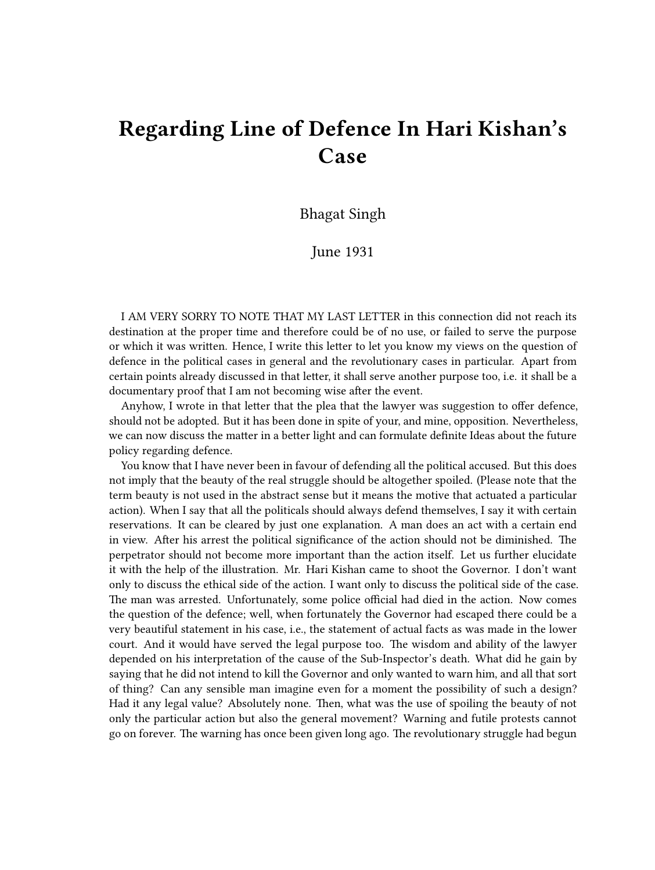## **Regarding Line of Defence In Hari Kishan's Case**

Bhagat Singh

June 1931

I AM VERY SORRY TO NOTE THAT MY LAST LETTER in this connection did not reach its destination at the proper time and therefore could be of no use, or failed to serve the purpose or which it was written. Hence, I write this letter to let you know my views on the question of defence in the political cases in general and the revolutionary cases in particular. Apart from certain points already discussed in that letter, it shall serve another purpose too, i.e. it shall be a documentary proof that I am not becoming wise after the event.

Anyhow, I wrote in that letter that the plea that the lawyer was suggestion to offer defence, should not be adopted. But it has been done in spite of your, and mine, opposition. Nevertheless, we can now discuss the matter in a better light and can formulate definite Ideas about the future policy regarding defence.

You know that I have never been in favour of defending all the political accused. But this does not imply that the beauty of the real struggle should be altogether spoiled. (Please note that the term beauty is not used in the abstract sense but it means the motive that actuated a particular action). When I say that all the politicals should always defend themselves, I say it with certain reservations. It can be cleared by just one explanation. A man does an act with a certain end in view. After his arrest the political significance of the action should not be diminished. The perpetrator should not become more important than the action itself. Let us further elucidate it with the help of the illustration. Mr. Hari Kishan came to shoot the Governor. I don't want only to discuss the ethical side of the action. I want only to discuss the political side of the case. The man was arrested. Unfortunately, some police official had died in the action. Now comes the question of the defence; well, when fortunately the Governor had escaped there could be a very beautiful statement in his case, i.e., the statement of actual facts as was made in the lower court. And it would have served the legal purpose too. The wisdom and ability of the lawyer depended on his interpretation of the cause of the Sub-Inspector's death. What did he gain by saying that he did not intend to kill the Governor and only wanted to warn him, and all that sort of thing? Can any sensible man imagine even for a moment the possibility of such a design? Had it any legal value? Absolutely none. Then, what was the use of spoiling the beauty of not only the particular action but also the general movement? Warning and futile protests cannot go on forever. The warning has once been given long ago. The revolutionary struggle had begun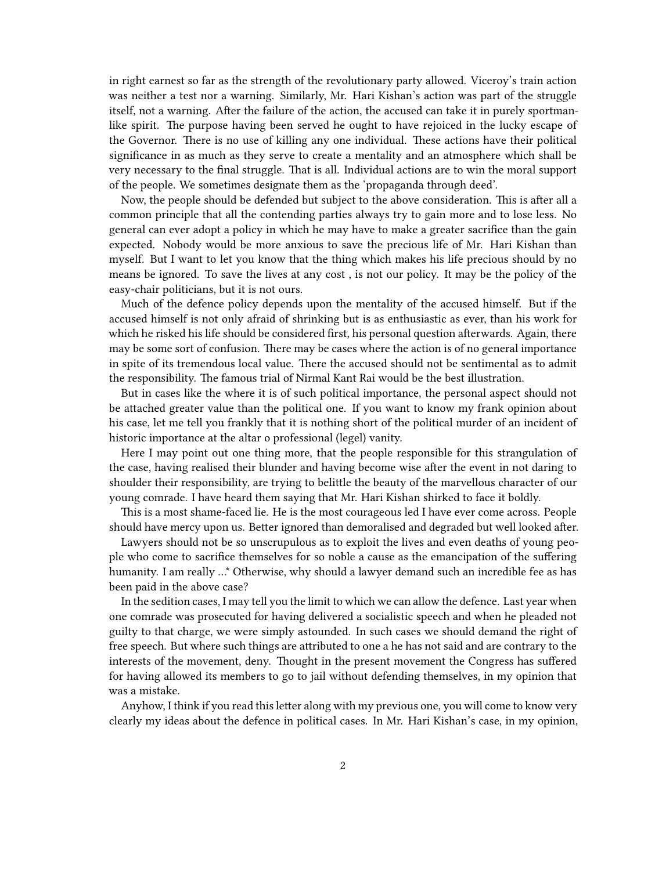in right earnest so far as the strength of the revolutionary party allowed. Viceroy's train action was neither a test nor a warning. Similarly, Mr. Hari Kishan's action was part of the struggle itself, not a warning. After the failure of the action, the accused can take it in purely sportmanlike spirit. The purpose having been served he ought to have rejoiced in the lucky escape of the Governor. There is no use of killing any one individual. These actions have their political significance in as much as they serve to create a mentality and an atmosphere which shall be very necessary to the final struggle. That is all. Individual actions are to win the moral support of the people. We sometimes designate them as the 'propaganda through deed'.

Now, the people should be defended but subject to the above consideration. This is after all a common principle that all the contending parties always try to gain more and to lose less. No general can ever adopt a policy in which he may have to make a greater sacrifice than the gain expected. Nobody would be more anxious to save the precious life of Mr. Hari Kishan than myself. But I want to let you know that the thing which makes his life precious should by no means be ignored. To save the lives at any cost , is not our policy. It may be the policy of the easy-chair politicians, but it is not ours.

Much of the defence policy depends upon the mentality of the accused himself. But if the accused himself is not only afraid of shrinking but is as enthusiastic as ever, than his work for which he risked his life should be considered first, his personal question afterwards. Again, there may be some sort of confusion. There may be cases where the action is of no general importance in spite of its tremendous local value. There the accused should not be sentimental as to admit the responsibility. The famous trial of Nirmal Kant Rai would be the best illustration.

But in cases like the where it is of such political importance, the personal aspect should not be attached greater value than the political one. If you want to know my frank opinion about his case, let me tell you frankly that it is nothing short of the political murder of an incident of historic importance at the altar o professional (legel) vanity.

Here I may point out one thing more, that the people responsible for this strangulation of the case, having realised their blunder and having become wise after the event in not daring to shoulder their responsibility, are trying to belittle the beauty of the marvellous character of our young comrade. I have heard them saying that Mr. Hari Kishan shirked to face it boldly.

This is a most shame-faced lie. He is the most courageous led I have ever come across. People should have mercy upon us. Better ignored than demoralised and degraded but well looked after.

Lawyers should not be so unscrupulous as to exploit the lives and even deaths of young people who come to sacrifice themselves for so noble a cause as the emancipation of the suffering humanity. I am really …\* Otherwise, why should a lawyer demand such an incredible fee as has been paid in the above case?

In the sedition cases, I may tell you the limit to which we can allow the defence. Last year when one comrade was prosecuted for having delivered a socialistic speech and when he pleaded not guilty to that charge, we were simply astounded. In such cases we should demand the right of free speech. But where such things are attributed to one a he has not said and are contrary to the interests of the movement, deny. Thought in the present movement the Congress has suffered for having allowed its members to go to jail without defending themselves, in my opinion that was a mistake.

Anyhow, I think if you read this letter along with my previous one, you will come to know very clearly my ideas about the defence in political cases. In Mr. Hari Kishan's case, in my opinion,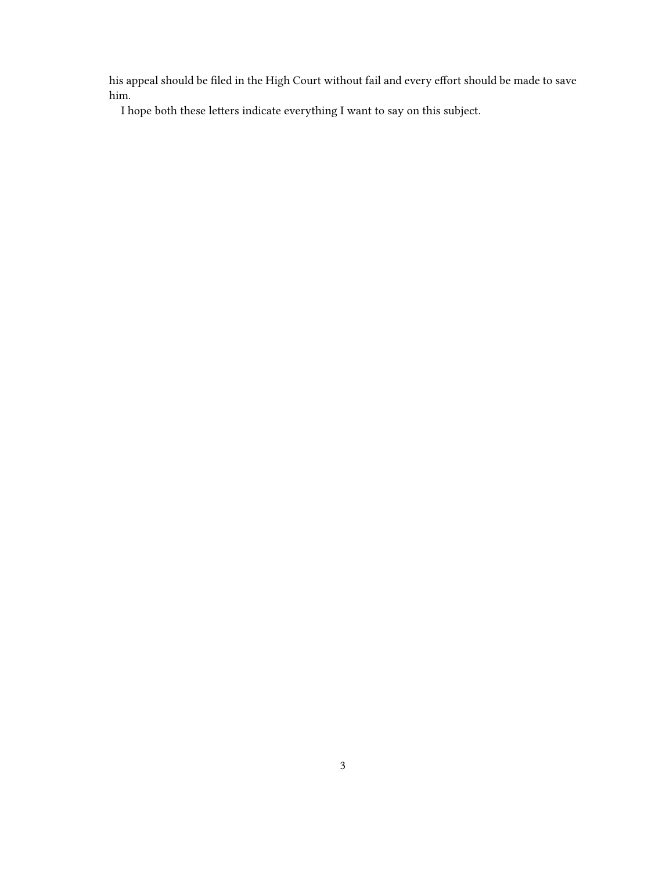his appeal should be filed in the High Court without fail and every effort should be made to save him.

I hope both these letters indicate everything I want to say on this subject.